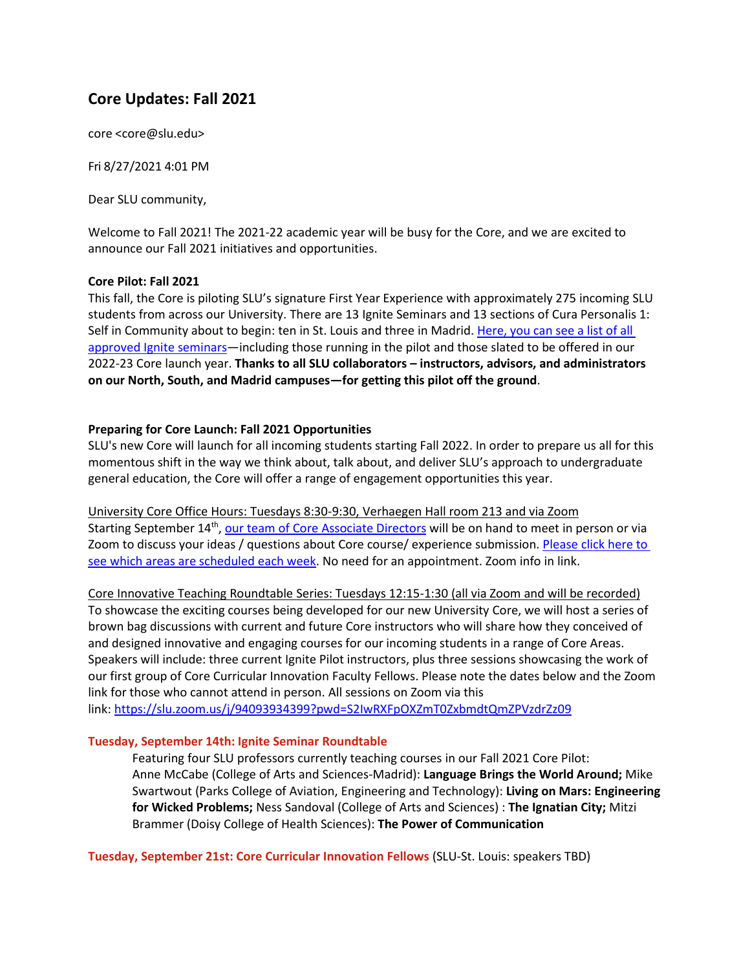# **Core Updates: Fall 2021**

core [<core@slu.edu>](mailto:core@slu.edu)

Fri 8/27/2021 4:01 PM

Dear SLU community,

Welcome to Fall 2021! The 2021-22 academic year will be busy for the Core, and we are excited to announce our Fall 2021 initiatives and opportunities.

### **Core Pilot: Fall 2021**

This fall, the Core is piloting SLU's signature First Year Experience with approximately 275 incoming SLU students from across our University. There are 13 Ignite Seminars and 13 sections of Cura Personalis 1: Self in Community about to begin: ten in St. Louis and three in Madrid. [Here,](https://sites.google.com/slu.edu/university-core-pilot/instructor-resources/approved-ignite-seminars) you can see a list of all [approved](https://sites.google.com/slu.edu/university-core-pilot/instructor-resources/approved-ignite-seminars) Ignite seminars—including those running in the pilot and those slated to be offered in our 2022-23 Core launch year. **Thanks to all SLU collaborators – instructors, advisors, and administrators on our North, South, and Madrid campuses—for getting this pilot off the ground**.

## **Preparing for Core Launch: Fall 2021 Opportunities**

SLU's new Core will launch for all incoming students starting Fall 2022. In order to prepare us all for this momentous shift in the way we think about, talk about, and deliver SLU's approach to undergraduate general education, the Core will offer a range of engagement opportunities this year.

University Core Office Hours: Tuesdays 8:30-9:30, Verhaegen Hall room 213 and via Zoom Starting September 14<sup>th</sup>, <u>our team of Core [Associate](https://www.slu.edu/provost/university-undergraduate-core/directory.php) Directors</u> will be on hand to meet in person or via Zoom to discuss your ideas / questions about Core course/ experience submission. [Please](https://docs.google.com/document/d/1qCkrgxSa05iKmu80tazliZehvNEwkhZiaBXFVUqNqGw/edit?usp=sharing) click here to see which areas are [scheduled](https://docs.google.com/document/d/1qCkrgxSa05iKmu80tazliZehvNEwkhZiaBXFVUqNqGw/edit?usp=sharing) each week. No need for an appointment. Zoom info in link.

Core Innovative Teaching Roundtable Series: Tuesdays 12:15-1:30 (all via Zoom and will be recorded) To showcase the exciting courses being developed for our new University Core, we will host a series of brown bag discussions with current and future Core instructors who will share how they conceived of and designed innovative and engaging courses for our incoming students in a range of Core Areas. Speakers will include: three current Ignite Pilot instructors, plus three sessions showcasing the work of our first group of Core Curricular Innovation Faculty Fellows. Please note the dates below and the Zoom link for those who cannot attend in person. All sessions on Zoom via this link: <https://slu.zoom.us/j/94093934399?pwd=S2IwRXFpOXZmT0ZxbmdtQmZPVzdrZz09>

## **Tuesday, September 14th: Ignite Seminar Roundtable**

Featuring four SLU professors currently teaching courses in our Fall 2021 Core Pilot: Anne McCabe (College of Arts and Sciences-Madrid): **Language Brings the World Around;** Mike Swartwout (Parks College of Aviation, Engineering and Technology): **Living on Mars: Engineering for Wicked Problems;** Ness Sandoval (College of Arts and Sciences) : **The Ignatian City;** Mitzi Brammer (Doisy College of Health Sciences): **The Power of Communication**

**Tuesday, September 21st: Core Curricular Innovation Fellows** (SLU-St. Louis: speakers TBD)